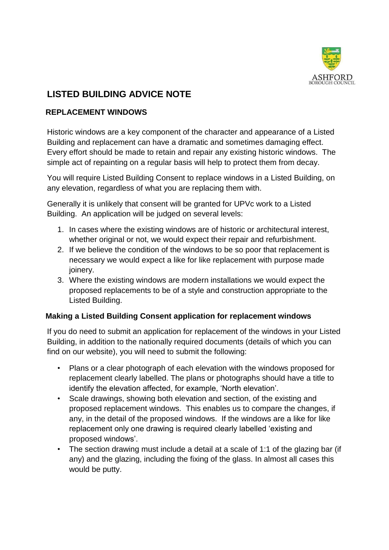

# **LISTED BUILDING ADVICE NOTE**

# **REPLACEMENT WINDOWS**

Historic windows are a key component of the character and appearance of a Listed Building and replacement can have a dramatic and sometimes damaging effect. Every effort should be made to retain and repair any existing historic windows. The simple act of repainting on a regular basis will help to protect them from decay.

You will require Listed Building Consent to replace windows in a Listed Building, on any elevation, regardless of what you are replacing them with.

Generally it is unlikely that consent will be granted for UPVc work to a Listed Building. An application will be judged on several levels:

- 1. In cases where the existing windows are of historic or architectural interest, whether original or not, we would expect their repair and refurbishment.
- 2. If we believe the condition of the windows to be so poor that replacement is necessary we would expect a like for like replacement with purpose made joinery.
- 3. Where the existing windows are modern installations we would expect the proposed replacements to be of a style and construction appropriate to the Listed Building.

### **Making a Listed Building Consent application for replacement windows**

If you do need to submit an application for replacement of the windows in your Listed Building, in addition to the nationally required documents (details of which you can find on our website), you will need to submit the following:

- Plans or a clear photograph of each elevation with the windows proposed for replacement clearly labelled. The plans or photographs should have a title to identify the elevation affected, for example, 'North elevation'.
- Scale drawings, showing both elevation and section, of the existing and proposed replacement windows. This enables us to compare the changes, if any, in the detail of the proposed windows. If the windows are a like for like replacement only one drawing is required clearly labelled 'existing and proposed windows'.
- The section drawing must include a detail at a scale of 1:1 of the glazing bar (if any) and the glazing, including the fixing of the glass. In almost all cases this would be putty.